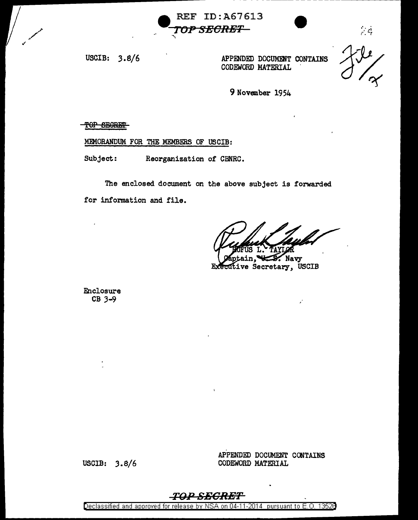

USCIB: 3.8/6

APPENDED DOCUMENT CONTAINS TWO CONSTANTS APPENDED DOCUMENT CONTAINS<br>CODEWORD MATERIAL



 $\frac{1}{2}$ 

9 November 1954

!OP SBSRm.'

MEMORANDUM FOR THE MEMBERS OF USCIB:

Subject: Reorganization of CBNRC.

The enclosed document on the above subject is forwarded for information and file.

Navy Executive Secretary, USCIB

Enclosure CB *3-9* 

USCIB:  $3.8/6$ 

APPENDED DOCUMENT CONTAINS CODEWORD MATERIAL

### T<J-l2 *SECRET*

Declassified and approved for release by NSA on 04-11-2014 pursuant to E. 0. 1352B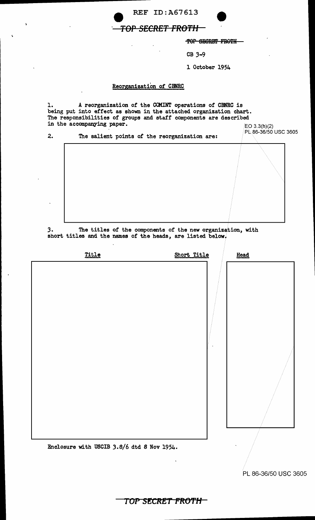

 $\ddot{\phantom{a}}$ 

 $\sim$ 

TOP SECRET FROTH

CB 3-9

1 October 1954

#### Reorganization of CBNRC

 $\overline{\phantom{a}}$ 

1. A reorganization or the COMINT operations or CBNRC is being put into effect as shown in the attached organization chart. The responsibilities or groups and staff components are described in the accompanying paper.

|    | in the accompanying paper.                    | EO 3.3(h)(2)         |
|----|-----------------------------------------------|----------------------|
| 2. | The salient points of the reorganization are: | PL 86-36/50 USC 3605 |
|    |                                               |                      |
|    |                                               |                      |

*3.* The titles or the components or the new organization, with short titles and the names of the heads, are listed below.

| Title                                      | Short Title | Head |
|--------------------------------------------|-------------|------|
|                                            |             |      |
|                                            |             |      |
|                                            |             |      |
|                                            |             |      |
|                                            |             |      |
|                                            |             |      |
|                                            |             |      |
|                                            |             |      |
|                                            |             |      |
|                                            |             |      |
|                                            |             |      |
|                                            |             |      |
| Enclosure with USCIB 3.8/6 dtd 8 Nov 1954. |             |      |

PL 86-36/50 USC 3605

**TOP SF;CRET PftO'f'H**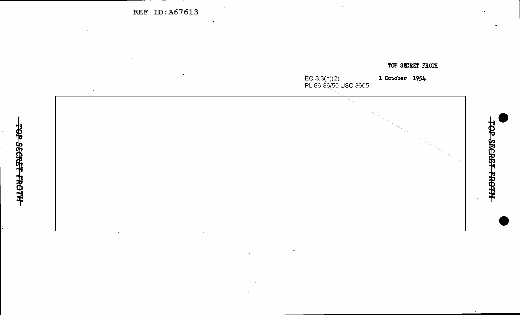REF ID:A67613



 $\mathbf{u}$ 

 $\mathcal{L}$ 

TOP SECRET FROTH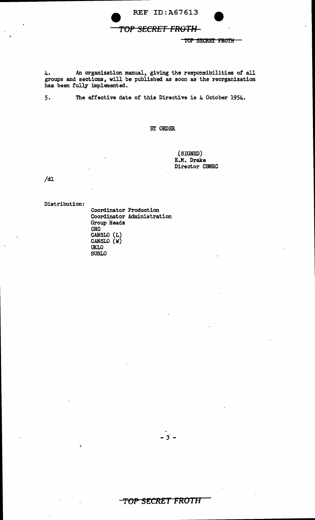



4. An organization manual, giving the responsibilities of all groups and sections, will be published as soon as the reorganization has been fully implemented.

5. The effective date of this Directive is 4 October 1954.

BY ORDER.

(SIGNED) E.M. Drake Director CBNRC

/dl

Distribution:

Ă

Coordinator Production Coordinator Administration Group Heads CRC CANSLO (L) CANSLO (W) UKLO SUSLO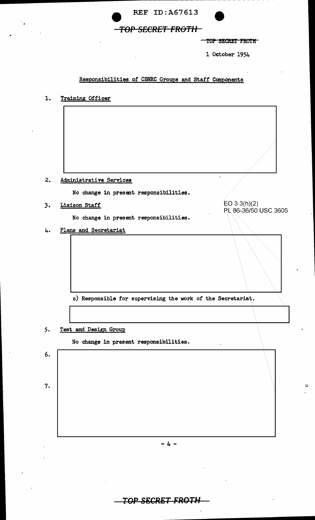



l October 1954

### Responsibilities of CBNRC Groups and Staff Components

| <b>Training Officer</b><br>ı. |  |
|-------------------------------|--|
|-------------------------------|--|



*3.* Liaison Staff

No change in present responsibilities.

EO 3.3(h)(2) PL86-36/50 USC 3605

 $\circ$ 

4. Plans and Secretariat

c) Responsible for supervising the work of the Secretariat.

5. Test and Design Group

No change in present responsibilities.

6. 7.  $- 4 -$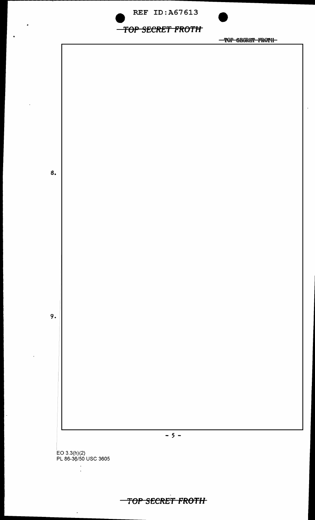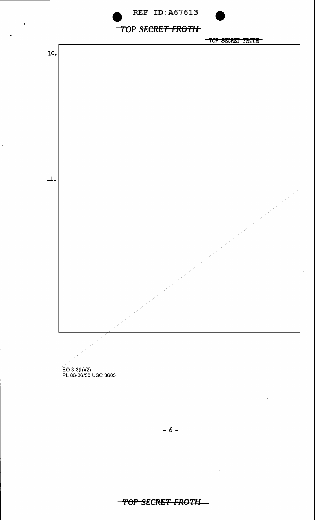





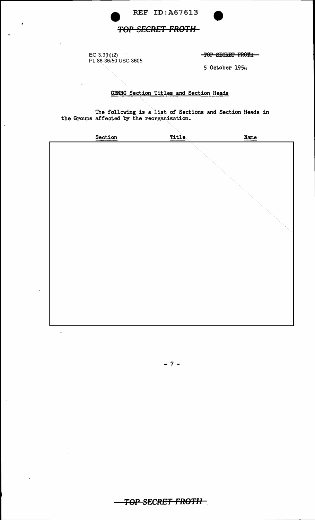

REF ID: A67613

## **TOP SECRET FROTH-**

 $\mathcal{A}$ EO 3.3(h)(2)<br>PL 86-36/50 USC 3605

¢

-TOP SECRET FROTH-

5 October 1954

### CBNRC Section Titles and Section Heads

The following is a list of Sections and Section Heads in the Groups affected by the reorganization.

| Section | Title | <b>Name</b> |
|---------|-------|-------------|
|         |       |             |
|         |       |             |
|         |       |             |
|         |       |             |
|         |       |             |
|         |       |             |

 $-7-$